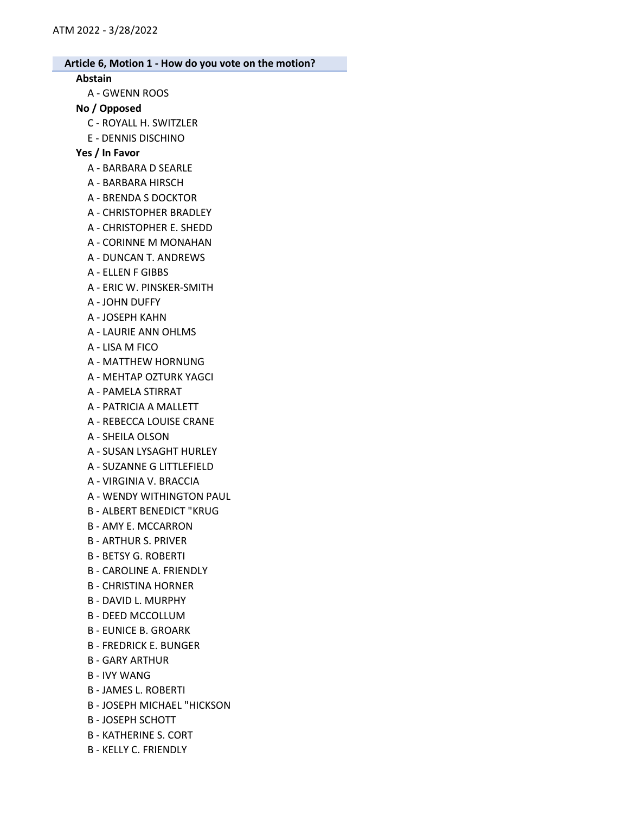#### Abstain

A - GWENN ROOS

## No / Opposed

- C ROYALL H. SWITZLER
- E DENNIS DISCHINO

### Yes / In Favor

- A BARBARA D SEARLE
- A BARBARA HIRSCH
- A BRENDA S DOCKTOR
- A CHRISTOPHER BRADLEY
- A CHRISTOPHER E. SHEDD
- A CORINNE M MONAHAN
- A DUNCAN T. ANDREWS
- A ELLEN F GIBBS
- A ERIC W. PINSKER-SMITH
- A JOHN DUFFY
- A JOSEPH KAHN
- A LAURIE ANN OHLMS
- A LISA M FICO
- A MATTHEW HORNUNG
- A MEHTAP OZTURK YAGCI
- A PAMELA STIRRAT
- A PATRICIA A MALLETT
- A REBECCA LOUISE CRANE
- A SHEILA OLSON
- A SUSAN LYSAGHT HURLEY
- A SUZANNE G LITTLEFIELD
- A VIRGINIA V. BRACCIA
- A WENDY WITHINGTON PAUL
- B ALBERT BENEDICT "KRUG
- B AMY E. MCCARRON
- B ARTHUR S. PRIVER
- B BETSY G. ROBERTI
- B CAROLINE A. FRIENDLY
- B CHRISTINA HORNER
- B DAVID L. MURPHY
- B DEED MCCOLLUM
- B EUNICE B. GROARK
- B FREDRICK E. BUNGER
- B GARY ARTHUR
- B IVY WANG
- B JAMES L. ROBERTI
- B JOSEPH MICHAEL "HICKSON
- B JOSEPH SCHOTT
- B KATHERINE S. CORT
- B KELLY C. FRIENDLY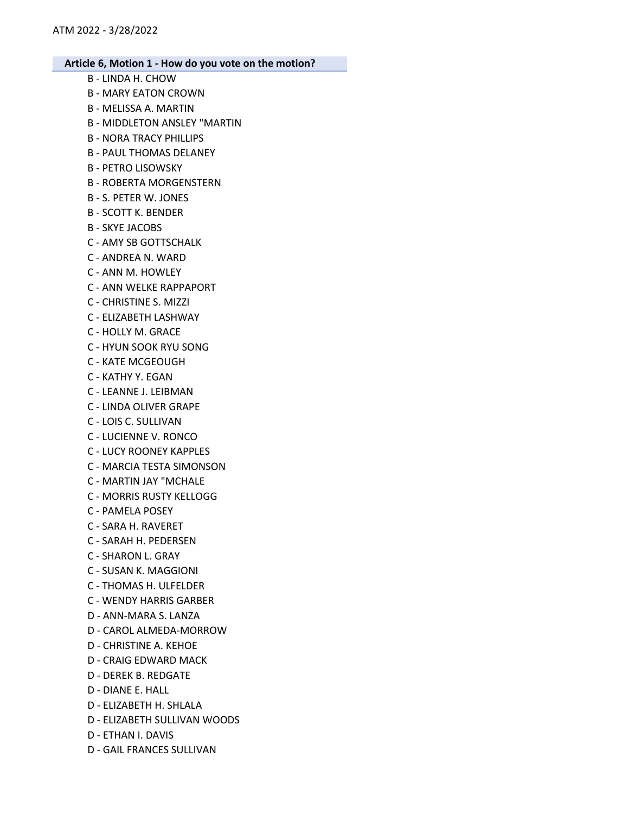- B LINDA H. CHOW B - MARY EATON CROWN B - MELISSA A. MARTIN B - MIDDLETON ANSLEY "MARTIN B - NORA TRACY PHILLIPS B - PAUL THOMAS DELANEY B - PETRO LISOWSKY B - ROBERTA MORGENSTERN B - S. PETER W. JONES B - SCOTT K. BENDER B - SKYE JACOBS C - AMY SB GOTTSCHALK C - ANDREA N. WARD C - ANN M. HOWLEY C - ANN WELKE RAPPAPORT C - CHRISTINE S. MIZZI C - ELIZABETH LASHWAY C - HOLLY M. GRACE C - HYUN SOOK RYU SONG C - KATE MCGEOUGH C - KATHY Y. EGAN C - LEANNE J. LEIBMAN C - LINDA OLIVER GRAPE C - LOIS C. SULLIVAN C - LUCIENNE V. RONCO C - LUCY ROONEY KAPPLES C - MARCIA TESTA SIMONSON C - MARTIN JAY "MCHALE C - MORRIS RUSTY KELLOGG C - PAMELA POSEY C - SARA H. RAVERET C - SARAH H. PEDERSEN C - SHARON L. GRAY C - SUSAN K. MAGGIONI C - THOMAS H. ULFELDER C - WENDY HARRIS GARBER D - ANN-MARA S. LANZA D - CAROL ALMEDA-MORROW D - CHRISTINE A. KEHOE D - CRAIG EDWARD MACK D - DEREK B. REDGATE D - DIANE E. HALL D - ELIZABETH H. SHLALA D - ELIZABETH SULLIVAN WOODS D - ETHAN I. DAVIS
	- D GAIL FRANCES SULLIVAN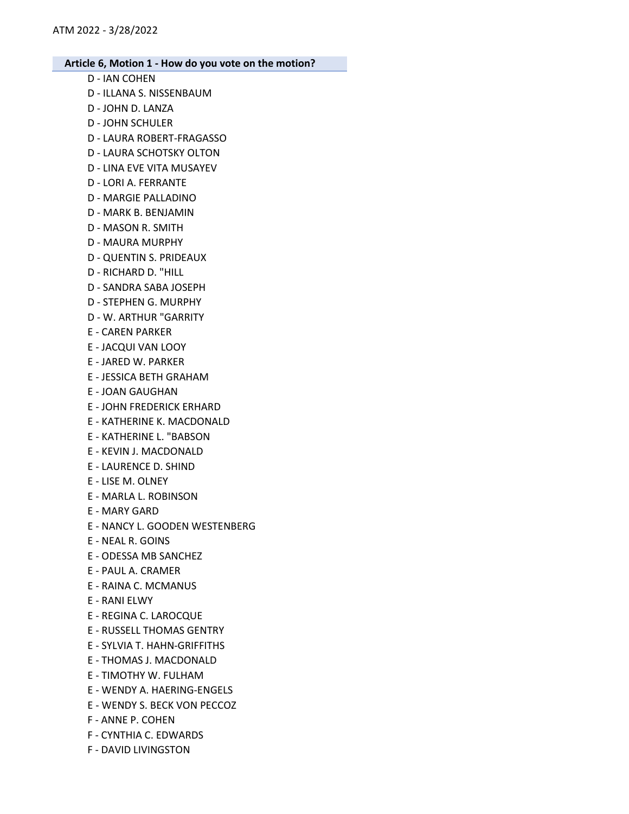- D IAN COHEN
- D ILLANA S. NISSENBAUM
- D JOHN D. LANZA
- D JOHN SCHULER
- D LAURA ROBERT-FRAGASSO
- D LAURA SCHOTSKY OLTON
- D LINA EVE VITA MUSAYEV
- D LORI A. FERRANTE
- D MARGIE PALLADINO
- D MARK B. BENJAMIN
- D MASON R. SMITH
- D MAURA MURPHY
- D QUENTIN S. PRIDEAUX
- D RICHARD D. "HILL
- D SANDRA SABA JOSEPH
- D STEPHEN G. MURPHY
- D W. ARTHUR "GARRITY
- E CAREN PARKER
- E JACQUI VAN LOOY
- E JARED W. PARKER
- E JESSICA BETH GRAHAM
- E JOAN GAUGHAN
- E JOHN FREDERICK ERHARD
- E KATHERINE K. MACDONALD
- E KATHERINE L. "BABSON
- E KEVIN J. MACDONALD
- E LAURENCE D. SHIND
- E LISE M. OLNEY
- E MARLA L. ROBINSON
- E MARY GARD
- E NANCY L. GOODEN WESTENBERG
- E NEAL R. GOINS
- E ODESSA MB SANCHEZ
- E PAUL A. CRAMER
- E RAINA C. MCMANUS
- E RANI ELWY
- E REGINA C. LAROCQUE
- E RUSSELL THOMAS GENTRY
- E SYLVIA T. HAHN-GRIFFITHS
- E THOMAS J. MACDONALD
- E TIMOTHY W. FULHAM
- E WENDY A. HAERING-ENGELS
- E WENDY S. BECK VON PECCOZ
- F ANNE P. COHEN
- F CYNTHIA C. EDWARDS
- F DAVID LIVINGSTON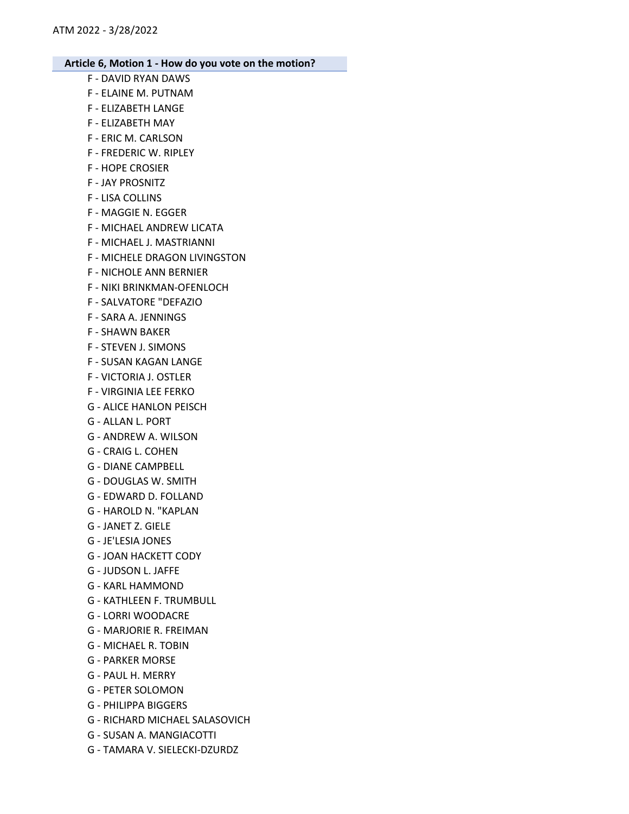- F DAVID RYAN DAWS
- F ELAINE M. PUTNAM
- F ELIZABETH LANGE
- F ELIZABETH MAY
- F ERIC M. CARLSON
- F FREDERIC W. RIPLEY
- F HOPE CROSIER
- F JAY PROSNITZ
- F LISA COLLINS
- F MAGGIE N. EGGER
- F MICHAEL ANDREW LICATA
- F MICHAEL J. MASTRIANNI
- F MICHELE DRAGON LIVINGSTON
- F NICHOLE ANN BERNIER
- F NIKI BRINKMAN-OFENLOCH
- F SALVATORE "DEFAZIO
- F SARA A. JENNINGS
- F SHAWN BAKER
- F STEVEN J. SIMONS
- F SUSAN KAGAN LANGE
- F VICTORIA J. OSTLER
- F VIRGINIA LEE FERKO
- G ALICE HANLON PEISCH
- G ALLAN L. PORT
- G ANDREW A. WILSON
- G CRAIG L. COHEN
- G DIANE CAMPBELL
- G DOUGLAS W. SMITH
- G EDWARD D. FOLLAND
- G HAROLD N. "KAPLAN
- G JANET Z. GIELE
- G JE'LESIA JONES
- G JOAN HACKETT CODY
- G JUDSON L. JAFFE
- G KARL HAMMOND
- G KATHLEEN F. TRUMBULL
- G LORRI WOODACRE
- G MARJORIE R. FREIMAN
- G MICHAEL R. TOBIN
- G PARKER MORSE
- G PAUL H. MERRY
- G PETER SOLOMON
- G PHILIPPA BIGGERS
- G RICHARD MICHAEL SALASOVICH
- G SUSAN A. MANGIACOTTI
- G TAMARA V. SIELECKI-DZURDZ